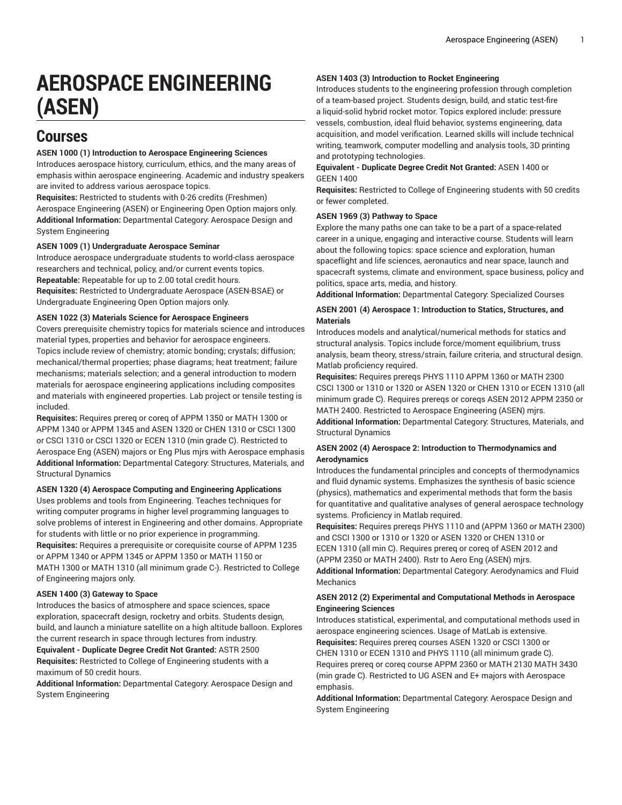# **AEROSPACE ENGINEERING (ASEN)**

# **Courses**

# **ASEN 1000 (1) Introduction to Aerospace Engineering Sciences**

Introduces aerospace history, curriculum, ethics, and the many areas of emphasis within aerospace engineering. Academic and industry speakers are invited to address various aerospace topics.

**Requisites:** Restricted to students with 0-26 credits (Freshmen) Aerospace Engineering (ASEN) or Engineering Open Option majors only. **Additional Information:** Departmental Category: Aerospace Design and System Engineering

#### **ASEN 1009 (1) Undergraduate Aerospace Seminar**

Introduce aerospace undergraduate students to world-class aerospace researchers and technical, policy, and/or current events topics.

**Repeatable:** Repeatable for up to 2.00 total credit hours.

**Requisites:** Restricted to Undergraduate Aerospace (ASEN-BSAE) or Undergraduate Engineering Open Option majors only.

# **ASEN 1022 (3) Materials Science for Aerospace Engineers**

Covers prerequisite chemistry topics for materials science and introduces material types, properties and behavior for aerospace engineers. Topics include review of chemistry; atomic bonding; crystals; diffusion; mechanical/thermal properties; phase diagrams; heat treatment; failure mechanisms; materials selection; and a general introduction to modern materials for aerospace engineering applications including composites and materials with engineered properties. Lab project or tensile testing is included.

**Requisites:** Requires prereq or coreq of APPM 1350 or MATH 1300 or APPM 1340 or APPM 1345 and ASEN 1320 or CHEN 1310 or CSCI 1300 or CSCI 1310 or CSCI 1320 or ECEN 1310 (min grade C). Restricted to Aerospace Eng (ASEN) majors or Eng Plus mjrs with Aerospace emphasis **Additional Information:** Departmental Category: Structures, Materials, and Structural Dynamics

#### **ASEN 1320 (4) Aerospace Computing and Engineering Applications**

Uses problems and tools from Engineering. Teaches techniques for writing computer programs in higher level programming languages to solve problems of interest in Engineering and other domains. Appropriate for students with little or no prior experience in programming. **Requisites:** Requires a prerequisite or corequisite course of APPM 1235 or APPM 1340 or APPM 1345 or APPM 1350 or MATH 1150 or MATH 1300 or MATH 1310 (all minimum grade C-). Restricted to College of Engineering majors only.

# **ASEN 1400 (3) Gateway to Space**

Introduces the basics of atmosphere and space sciences, space exploration, spacecraft design, rocketry and orbits. Students design, build, and launch a miniature satellite on a high altitude balloon. Explores the current research in space through lectures from industry. **Equivalent - Duplicate Degree Credit Not Granted:** ASTR 2500 **Requisites:** Restricted to College of Engineering students with a maximum of 50 credit hours.

**Additional Information:** Departmental Category: Aerospace Design and System Engineering

# **ASEN 1403 (3) Introduction to Rocket Engineering**

Introduces students to the engineering profession through completion of a team-based project. Students design, build, and static test-fire a liquid-solid hybrid rocket motor. Topics explored include: pressure vessels, combustion, ideal fluid behavior, systems engineering, data acquisition, and model verification. Learned skills will include technical writing, teamwork, computer modelling and analysis tools, 3D printing and prototyping technologies.

# **Equivalent - Duplicate Degree Credit Not Granted:** ASEN 1400 or GEEN 1400

**Requisites:** Restricted to College of Engineering students with 50 credits or fewer completed.

# **ASEN 1969 (3) Pathway to Space**

Explore the many paths one can take to be a part of a space-related career in a unique, engaging and interactive course. Students will learn about the following topics: space science and exploration, human spaceflight and life sciences, aeronautics and near space, launch and spacecraft systems, climate and environment, space business, policy and politics, space arts, media, and history.

**Additional Information:** Departmental Category: Specialized Courses

# **ASEN 2001 (4) Aerospace 1: Introduction to Statics, Structures, and Materials**

Introduces models and analytical/numerical methods for statics and structural analysis. Topics include force/moment equilibrium, truss analysis, beam theory, stress/strain, failure criteria, and structural design. Matlab proficiency required.

**Requisites:** Requires prereqs PHYS 1110 APPM 1360 or MATH 2300 CSCI 1300 or 1310 or 1320 or ASEN 1320 or CHEN 1310 or ECEN 1310 (all minimum grade C). Requires prereqs or coreqs ASEN 2012 APPM 2350 or MATH 2400. Restricted to Aerospace Engineering (ASEN) mjrs. **Additional Information:** Departmental Category: Structures, Materials, and Structural Dynamics

# **ASEN 2002 (4) Aerospace 2: Introduction to Thermodynamics and Aerodynamics**

Introduces the fundamental principles and concepts of thermodynamics and fluid dynamic systems. Emphasizes the synthesis of basic science (physics), mathematics and experimental methods that form the basis for quantitative and qualitative analyses of general aerospace technology systems. Proficiency in Matlab required.

**Requisites:** Requires prereqs PHYS 1110 and (APPM 1360 or MATH 2300) and CSCI 1300 or 1310 or 1320 or ASEN 1320 or CHEN 1310 or ECEN 1310 (all min C). Requires prereq or coreq of ASEN 2012 and (APPM 2350 or MATH 2400). Rstr to Aero Eng (ASEN) mjrs. **Additional Information:** Departmental Category: Aerodynamics and Fluid Mechanics

# **ASEN 2012 (2) Experimental and Computational Methods in Aerospace Engineering Sciences**

Introduces statistical, experimental, and computational methods used in aerospace engineering sciences. Usage of MatLab is extensive. **Requisites:** Requires prereq courses ASEN 1320 or CSCI 1300 or CHEN 1310 or ECEN 1310 and PHYS 1110 (all minimum grade C). Requires prereq or coreq course APPM 2360 or MATH 2130 MATH 3430 (min grade C). Restricted to UG ASEN and E+ majors with Aerospace emphasis.

**Additional Information:** Departmental Category: Aerospace Design and System Engineering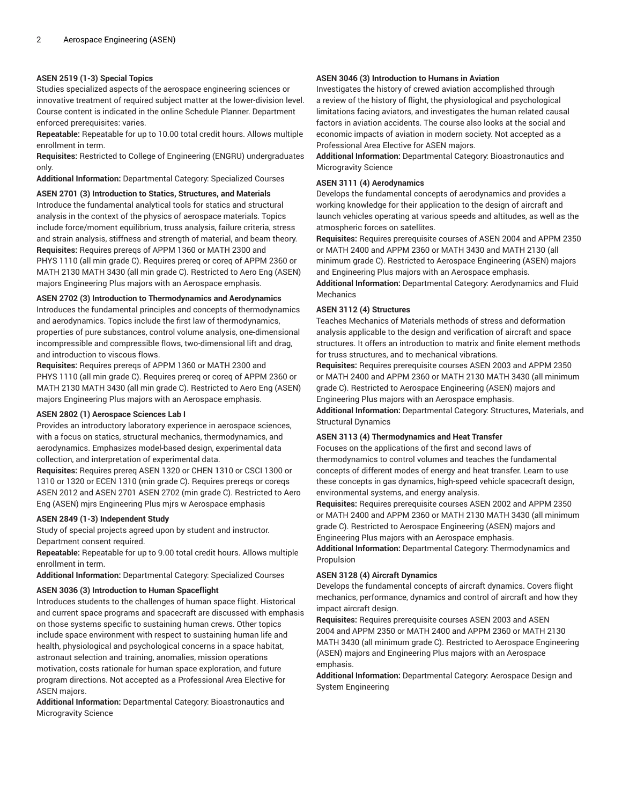# **ASEN 2519 (1-3) Special Topics**

Studies specialized aspects of the aerospace engineering sciences or innovative treatment of required subject matter at the lower-division level. Course content is indicated in the online Schedule Planner. Department enforced prerequisites: varies.

**Repeatable:** Repeatable for up to 10.00 total credit hours. Allows multiple enrollment in term.

**Requisites:** Restricted to College of Engineering (ENGRU) undergraduates only.

**Additional Information:** Departmental Category: Specialized Courses

#### **ASEN 2701 (3) Introduction to Statics, Structures, and Materials**

Introduce the fundamental analytical tools for statics and structural analysis in the context of the physics of aerospace materials. Topics include force/moment equilibrium, truss analysis, failure criteria, stress and strain analysis, stiffness and strength of material, and beam theory. **Requisites:** Requires prereqs of APPM 1360 or MATH 2300 and PHYS 1110 (all min grade C). Requires prereq or coreq of APPM 2360 or MATH 2130 MATH 3430 (all min grade C). Restricted to Aero Eng (ASEN) majors Engineering Plus majors with an Aerospace emphasis.

#### **ASEN 2702 (3) Introduction to Thermodynamics and Aerodynamics**

Introduces the fundamental principles and concepts of thermodynamics and aerodynamics. Topics include the first law of thermodynamics, properties of pure substances, control volume analysis, one-dimensional incompressible and compressible flows, two-dimensional lift and drag, and introduction to viscous flows.

**Requisites:** Requires prereqs of APPM 1360 or MATH 2300 and PHYS 1110 (all min grade C). Requires prereq or coreq of APPM 2360 or MATH 2130 MATH 3430 (all min grade C). Restricted to Aero Eng (ASEN) majors Engineering Plus majors with an Aerospace emphasis.

#### **ASEN 2802 (1) Aerospace Sciences Lab I**

Provides an introductory laboratory experience in aerospace sciences, with a focus on statics, structural mechanics, thermodynamics, and aerodynamics. Emphasizes model-based design, experimental data collection, and interpretation of experimental data.

**Requisites:** Requires prereq ASEN 1320 or CHEN 1310 or CSCI 1300 or 1310 or 1320 or ECEN 1310 (min grade C). Requires prereqs or coreqs ASEN 2012 and ASEN 2701 ASEN 2702 (min grade C). Restricted to Aero Eng (ASEN) mjrs Engineering Plus mjrs w Aerospace emphasis

#### **ASEN 2849 (1-3) Independent Study**

Study of special projects agreed upon by student and instructor. Department consent required.

**Repeatable:** Repeatable for up to 9.00 total credit hours. Allows multiple enrollment in term.

**Additional Information:** Departmental Category: Specialized Courses

#### **ASEN 3036 (3) Introduction to Human Spaceflight**

Introduces students to the challenges of human space flight. Historical and current space programs and spacecraft are discussed with emphasis on those systems specific to sustaining human crews. Other topics include space environment with respect to sustaining human life and health, physiological and psychological concerns in a space habitat, astronaut selection and training, anomalies, mission operations motivation, costs rationale for human space exploration, and future program directions. Not accepted as a Professional Area Elective for ASEN majors.

**Additional Information:** Departmental Category: Bioastronautics and Microgravity Science

# **ASEN 3046 (3) Introduction to Humans in Aviation**

Investigates the history of crewed aviation accomplished through a review of the history of flight, the physiological and psychological limitations facing aviators, and investigates the human related causal factors in aviation accidents. The course also looks at the social and economic impacts of aviation in modern society. Not accepted as a Professional Area Elective for ASEN majors.

**Additional Information:** Departmental Category: Bioastronautics and Microgravity Science

# **ASEN 3111 (4) Aerodynamics**

Develops the fundamental concepts of aerodynamics and provides a working knowledge for their application to the design of aircraft and launch vehicles operating at various speeds and altitudes, as well as the atmospheric forces on satellites.

**Requisites:** Requires prerequisite courses of ASEN 2004 and APPM 2350 or MATH 2400 and APPM 2360 or MATH 3430 and MATH 2130 (all minimum grade C). Restricted to Aerospace Engineering (ASEN) majors and Engineering Plus majors with an Aerospace emphasis.

**Additional Information:** Departmental Category: Aerodynamics and Fluid Mechanics

#### **ASEN 3112 (4) Structures**

Teaches Mechanics of Materials methods of stress and deformation analysis applicable to the design and verification of aircraft and space structures. It offers an introduction to matrix and finite element methods for truss structures, and to mechanical vibrations.

**Requisites:** Requires prerequisite courses ASEN 2003 and APPM 2350 or MATH 2400 and APPM 2360 or MATH 2130 MATH 3430 (all minimum grade C). Restricted to Aerospace Engineering (ASEN) majors and Engineering Plus majors with an Aerospace emphasis.

**Additional Information:** Departmental Category: Structures, Materials, and Structural Dynamics

# **ASEN 3113 (4) Thermodynamics and Heat Transfer**

Focuses on the applications of the first and second laws of thermodynamics to control volumes and teaches the fundamental concepts of different modes of energy and heat transfer. Learn to use these concepts in gas dynamics, high-speed vehicle spacecraft design, environmental systems, and energy analysis.

**Requisites:** Requires prerequisite courses ASEN 2002 and APPM 2350 or MATH 2400 and APPM 2360 or MATH 2130 MATH 3430 (all minimum grade C). Restricted to Aerospace Engineering (ASEN) majors and Engineering Plus majors with an Aerospace emphasis.

**Additional Information:** Departmental Category: Thermodynamics and Propulsion

# **ASEN 3128 (4) Aircraft Dynamics**

Develops the fundamental concepts of aircraft dynamics. Covers flight mechanics, performance, dynamics and control of aircraft and how they impact aircraft design.

**Requisites:** Requires prerequisite courses ASEN 2003 and ASEN 2004 and APPM 2350 or MATH 2400 and APPM 2360 or MATH 2130 MATH 3430 (all minimum grade C). Restricted to Aerospace Engineering (ASEN) majors and Engineering Plus majors with an Aerospace emphasis.

**Additional Information:** Departmental Category: Aerospace Design and System Engineering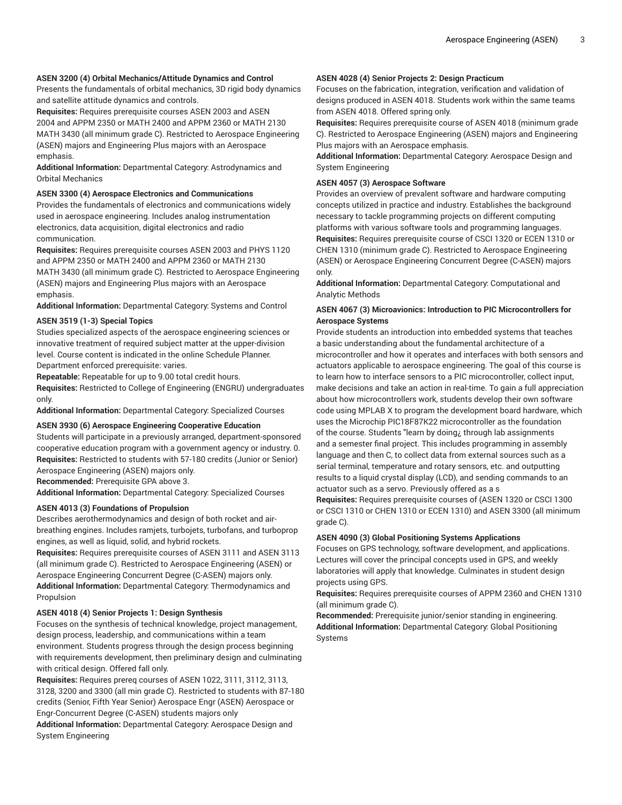# **ASEN 3200 (4) Orbital Mechanics/Attitude Dynamics and Control**

Presents the fundamentals of orbital mechanics, 3D rigid body dynamics and satellite attitude dynamics and controls.

**Requisites:** Requires prerequisite courses ASEN 2003 and ASEN 2004 and APPM 2350 or MATH 2400 and APPM 2360 or MATH 2130 MATH 3430 (all minimum grade C). Restricted to Aerospace Engineering (ASEN) majors and Engineering Plus majors with an Aerospace emphasis.

**Additional Information:** Departmental Category: Astrodynamics and Orbital Mechanics

# **ASEN 3300 (4) Aerospace Electronics and Communications**

Provides the fundamentals of electronics and communications widely used in aerospace engineering. Includes analog instrumentation electronics, data acquisition, digital electronics and radio communication.

**Requisites:** Requires prerequisite courses ASEN 2003 and PHYS 1120 and APPM 2350 or MATH 2400 and APPM 2360 or MATH 2130 MATH 3430 (all minimum grade C). Restricted to Aerospace Engineering (ASEN) majors and Engineering Plus majors with an Aerospace emphasis.

**Additional Information:** Departmental Category: Systems and Control

# **ASEN 3519 (1-3) Special Topics**

Studies specialized aspects of the aerospace engineering sciences or innovative treatment of required subject matter at the upper-division level. Course content is indicated in the online Schedule Planner. Department enforced prerequisite: varies.

**Repeatable:** Repeatable for up to 9.00 total credit hours.

**Requisites:** Restricted to College of Engineering (ENGRU) undergraduates only.

**Additional Information:** Departmental Category: Specialized Courses

# **ASEN 3930 (6) Aerospace Engineering Cooperative Education**

Students will participate in a previously arranged, department-sponsored cooperative education program with a government agency or industry. 0. **Requisites:** Restricted to students with 57-180 credits (Junior or Senior) Aerospace Engineering (ASEN) majors only.

**Recommended:** Prerequisite GPA above 3.

**Additional Information:** Departmental Category: Specialized Courses

# **ASEN 4013 (3) Foundations of Propulsion**

Describes aerothermodynamics and design of both rocket and airbreathing engines. Includes ramjets, turbojets, turbofans, and turboprop engines, as well as liquid, solid, and hybrid rockets.

**Requisites:** Requires prerequisite courses of ASEN 3111 and ASEN 3113 (all minimum grade C). Restricted to Aerospace Engineering (ASEN) or Aerospace Engineering Concurrent Degree (C-ASEN) majors only. **Additional Information:** Departmental Category: Thermodynamics and Propulsion

#### **ASEN 4018 (4) Senior Projects 1: Design Synthesis**

Focuses on the synthesis of technical knowledge, project management, design process, leadership, and communications within a team environment. Students progress through the design process beginning with requirements development, then preliminary design and culminating with critical design. Offered fall only.

**Requisites:** Requires prereq courses of ASEN 1022, 3111, 3112, 3113, 3128, 3200 and 3300 (all min grade C). Restricted to students with 87-180 credits (Senior, Fifth Year Senior) Aerospace Engr (ASEN) Aerospace or Engr-Concurrent Degree (C-ASEN) students majors only

**Additional Information:** Departmental Category: Aerospace Design and System Engineering

#### **ASEN 4028 (4) Senior Projects 2: Design Practicum**

Focuses on the fabrication, integration, verification and validation of designs produced in ASEN 4018. Students work within the same teams from ASEN 4018. Offered spring only.

**Requisites:** Requires prerequisite course of ASEN 4018 (minimum grade C). Restricted to Aerospace Engineering (ASEN) majors and Engineering Plus majors with an Aerospace emphasis.

**Additional Information:** Departmental Category: Aerospace Design and System Engineering

# **ASEN 4057 (3) Aerospace Software**

Provides an overview of prevalent software and hardware computing concepts utilized in practice and industry. Establishes the background necessary to tackle programming projects on different computing platforms with various software tools and programming languages. **Requisites:** Requires prerequisite course of CSCI 1320 or ECEN 1310 or CHEN 1310 (minimum grade C). Restricted to Aerospace Engineering (ASEN) or Aerospace Engineering Concurrent Degree (C-ASEN) majors only.

**Additional Information:** Departmental Category: Computational and Analytic Methods

# **ASEN 4067 (3) Microavionics: Introduction to PIC Microcontrollers for Aerospace Systems**

Provide students an introduction into embedded systems that teaches a basic understanding about the fundamental architecture of a microcontroller and how it operates and interfaces with both sensors and actuators applicable to aerospace engineering. The goal of this course is to learn how to interface sensors to a PIC microcontroller, collect input, make decisions and take an action in real-time. To gain a full appreciation about how microcontrollers work, students develop their own software code using MPLAB X to program the development board hardware, which uses the Microchip PIC18F87K22 microcontroller as the foundation of the course. Students "learn by doing¿ through lab assignments and a semester final project. This includes programming in assembly language and then C, to collect data from external sources such as a serial terminal, temperature and rotary sensors, etc. and outputting results to a liquid crystal display (LCD), and sending commands to an actuator such as a servo. Previously offered as a s

**Requisites:** Requires prerequisite courses of (ASEN 1320 or CSCI 1300 or CSCI 1310 or CHEN 1310 or ECEN 1310) and ASEN 3300 (all minimum grade C).

# **ASEN 4090 (3) Global Positioning Systems Applications**

Focuses on GPS technology, software development, and applications. Lectures will cover the principal concepts used in GPS, and weekly laboratories will apply that knowledge. Culminates in student design projects using GPS.

**Requisites:** Requires prerequisite courses of APPM 2360 and CHEN 1310 (all minimum grade C).

**Recommended:** Prerequisite junior/senior standing in engineering. **Additional Information:** Departmental Category: Global Positioning Systems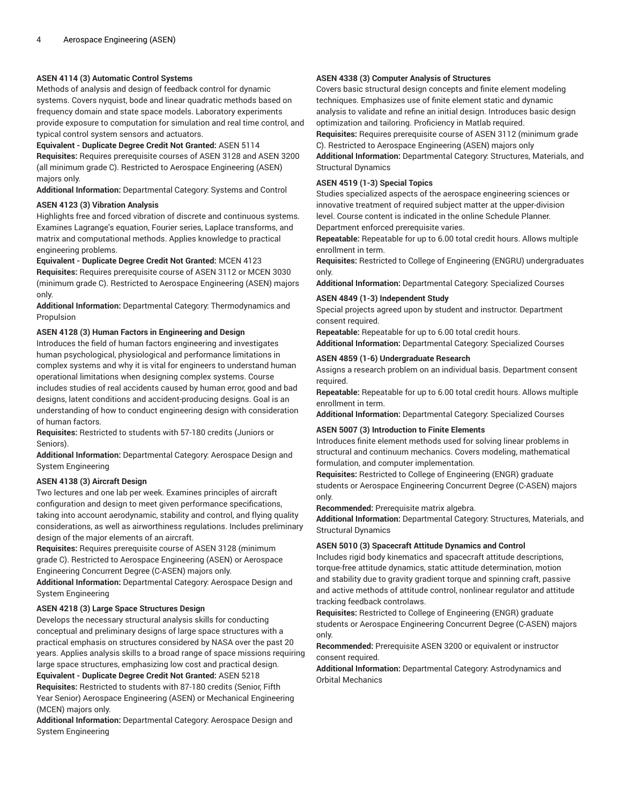# **ASEN 4114 (3) Automatic Control Systems**

Methods of analysis and design of feedback control for dynamic systems. Covers nyquist, bode and linear quadratic methods based on frequency domain and state space models. Laboratory experiments provide exposure to computation for simulation and real time control, and typical control system sensors and actuators.

**Equivalent - Duplicate Degree Credit Not Granted:** ASEN 5114

**Requisites:** Requires prerequisite courses of ASEN 3128 and ASEN 3200 (all minimum grade C). Restricted to Aerospace Engineering (ASEN) majors only.

**Additional Information:** Departmental Category: Systems and Control

#### **ASEN 4123 (3) Vibration Analysis**

Highlights free and forced vibration of discrete and continuous systems. Examines Lagrange's equation, Fourier series, Laplace transforms, and matrix and computational methods. Applies knowledge to practical engineering problems.

#### **Equivalent - Duplicate Degree Credit Not Granted:** MCEN 4123

**Requisites:** Requires prerequisite course of ASEN 3112 or MCEN 3030 (minimum grade C). Restricted to Aerospace Engineering (ASEN) majors only.

**Additional Information:** Departmental Category: Thermodynamics and Propulsion

#### **ASEN 4128 (3) Human Factors in Engineering and Design**

Introduces the field of human factors engineering and investigates human psychological, physiological and performance limitations in complex systems and why it is vital for engineers to understand human operational limitations when designing complex systems. Course includes studies of real accidents caused by human error, good and bad designs, latent conditions and accident-producing designs. Goal is an understanding of how to conduct engineering design with consideration of human factors.

**Requisites:** Restricted to students with 57-180 credits (Juniors or Seniors).

**Additional Information:** Departmental Category: Aerospace Design and System Engineering

#### **ASEN 4138 (3) Aircraft Design**

Two lectures and one lab per week. Examines principles of aircraft configuration and design to meet given performance specifications, taking into account aerodynamic, stability and control, and flying quality considerations, as well as airworthiness regulations. Includes preliminary design of the major elements of an aircraft.

**Requisites:** Requires prerequisite course of ASEN 3128 (minimum grade C). Restricted to Aerospace Engineering (ASEN) or Aerospace Engineering Concurrent Degree (C-ASEN) majors only.

**Additional Information:** Departmental Category: Aerospace Design and System Engineering

#### **ASEN 4218 (3) Large Space Structures Design**

Develops the necessary structural analysis skills for conducting conceptual and preliminary designs of large space structures with a practical emphasis on structures considered by NASA over the past 20 years. Applies analysis skills to a broad range of space missions requiring large space structures, emphasizing low cost and practical design. **Equivalent - Duplicate Degree Credit Not Granted:** ASEN 5218

**Requisites:** Restricted to students with 87-180 credits (Senior, Fifth Year Senior) Aerospace Engineering (ASEN) or Mechanical Engineering (MCEN) majors only.

**Additional Information:** Departmental Category: Aerospace Design and System Engineering

# **ASEN 4338 (3) Computer Analysis of Structures**

Covers basic structural design concepts and finite element modeling techniques. Emphasizes use of finite element static and dynamic analysis to validate and refine an initial design. Introduces basic design optimization and tailoring. Proficiency in Matlab required.

**Requisites:** Requires prerequisite course of ASEN 3112 (minimum grade C). Restricted to Aerospace Engineering (ASEN) majors only

**Additional Information:** Departmental Category: Structures, Materials, and Structural Dynamics

# **ASEN 4519 (1-3) Special Topics**

Studies specialized aspects of the aerospace engineering sciences or innovative treatment of required subject matter at the upper-division level. Course content is indicated in the online Schedule Planner. Department enforced prerequisite varies.

**Repeatable:** Repeatable for up to 6.00 total credit hours. Allows multiple enrollment in term.

**Requisites:** Restricted to College of Engineering (ENGRU) undergraduates only.

**Additional Information:** Departmental Category: Specialized Courses

#### **ASEN 4849 (1-3) Independent Study**

Special projects agreed upon by student and instructor. Department consent required.

**Repeatable:** Repeatable for up to 6.00 total credit hours.

**Additional Information:** Departmental Category: Specialized Courses

# **ASEN 4859 (1-6) Undergraduate Research**

Assigns a research problem on an individual basis. Department consent required.

**Repeatable:** Repeatable for up to 6.00 total credit hours. Allows multiple enrollment in term.

**Additional Information:** Departmental Category: Specialized Courses

# **ASEN 5007 (3) Introduction to Finite Elements**

Introduces finite element methods used for solving linear problems in structural and continuum mechanics. Covers modeling, mathematical formulation, and computer implementation.

**Requisites:** Restricted to College of Engineering (ENGR) graduate students or Aerospace Engineering Concurrent Degree (C-ASEN) majors only.

**Recommended:** Prerequisite matrix algebra.

**Additional Information:** Departmental Category: Structures, Materials, and Structural Dynamics

#### **ASEN 5010 (3) Spacecraft Attitude Dynamics and Control**

Includes rigid body kinematics and spacecraft attitude descriptions, torque-free attitude dynamics, static attitude determination, motion and stability due to gravity gradient torque and spinning craft, passive and active methods of attitude control, nonlinear regulator and attitude tracking feedback controlaws.

**Requisites:** Restricted to College of Engineering (ENGR) graduate students or Aerospace Engineering Concurrent Degree (C-ASEN) majors only.

**Recommended:** Prerequisite ASEN 3200 or equivalent or instructor consent required.

**Additional Information:** Departmental Category: Astrodynamics and Orbital Mechanics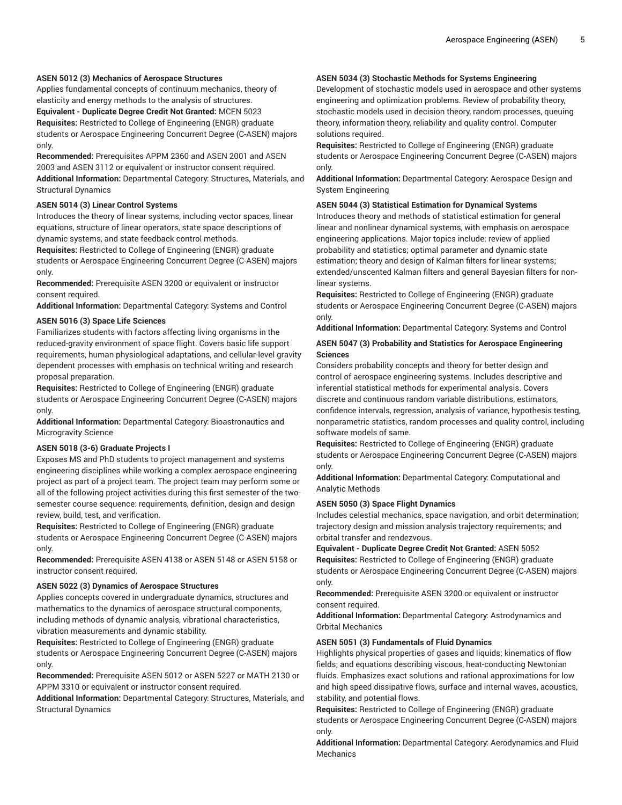# **ASEN 5012 (3) Mechanics of Aerospace Structures**

Applies fundamental concepts of continuum mechanics, theory of elasticity and energy methods to the analysis of structures. **Equivalent - Duplicate Degree Credit Not Granted:** MCEN 5023 **Requisites:** Restricted to College of Engineering (ENGR) graduate students or Aerospace Engineering Concurrent Degree (C-ASEN) majors only.

**Recommended:** Prerequisites APPM 2360 and ASEN 2001 and ASEN 2003 and ASEN 3112 or equivalent or instructor consent required. **Additional Information:** Departmental Category: Structures, Materials, and Structural Dynamics

# **ASEN 5014 (3) Linear Control Systems**

Introduces the theory of linear systems, including vector spaces, linear equations, structure of linear operators, state space descriptions of dynamic systems, and state feedback control methods.

**Requisites:** Restricted to College of Engineering (ENGR) graduate students or Aerospace Engineering Concurrent Degree (C-ASEN) majors only.

**Recommended:** Prerequisite ASEN 3200 or equivalent or instructor consent required.

**Additional Information:** Departmental Category: Systems and Control

#### **ASEN 5016 (3) Space Life Sciences**

Familiarizes students with factors affecting living organisms in the reduced-gravity environment of space flight. Covers basic life support requirements, human physiological adaptations, and cellular-level gravity dependent processes with emphasis on technical writing and research proposal preparation.

**Requisites:** Restricted to College of Engineering (ENGR) graduate students or Aerospace Engineering Concurrent Degree (C-ASEN) majors only.

**Additional Information:** Departmental Category: Bioastronautics and Microgravity Science

# **ASEN 5018 (3-6) Graduate Projects I**

Exposes MS and PhD students to project management and systems engineering disciplines while working a complex aerospace engineering project as part of a project team. The project team may perform some or all of the following project activities during this first semester of the twosemester course sequence: requirements, definition, design and design review, build, test, and verification.

**Requisites:** Restricted to College of Engineering (ENGR) graduate students or Aerospace Engineering Concurrent Degree (C-ASEN) majors only.

**Recommended:** Prerequisite ASEN 4138 or ASEN 5148 or ASEN 5158 or instructor consent required.

#### **ASEN 5022 (3) Dynamics of Aerospace Structures**

Applies concepts covered in undergraduate dynamics, structures and mathematics to the dynamics of aerospace structural components, including methods of dynamic analysis, vibrational characteristics, vibration measurements and dynamic stability.

**Requisites:** Restricted to College of Engineering (ENGR) graduate students or Aerospace Engineering Concurrent Degree (C-ASEN) majors only.

**Recommended:** Prerequisite ASEN 5012 or ASEN 5227 or MATH 2130 or APPM 3310 or equivalent or instructor consent required.

**Additional Information:** Departmental Category: Structures, Materials, and Structural Dynamics

# **ASEN 5034 (3) Stochastic Methods for Systems Engineering**

Development of stochastic models used in aerospace and other systems engineering and optimization problems. Review of probability theory, stochastic models used in decision theory, random processes, queuing theory, information theory, reliability and quality control. Computer solutions required.

**Requisites:** Restricted to College of Engineering (ENGR) graduate students or Aerospace Engineering Concurrent Degree (C-ASEN) majors only.

**Additional Information:** Departmental Category: Aerospace Design and System Engineering

# **ASEN 5044 (3) Statistical Estimation for Dynamical Systems**

Introduces theory and methods of statistical estimation for general linear and nonlinear dynamical systems, with emphasis on aerospace engineering applications. Major topics include: review of applied probability and statistics; optimal parameter and dynamic state estimation; theory and design of Kalman filters for linear systems; extended/unscented Kalman filters and general Bayesian filters for nonlinear systems.

**Requisites:** Restricted to College of Engineering (ENGR) graduate students or Aerospace Engineering Concurrent Degree (C-ASEN) majors only.

**Additional Information:** Departmental Category: Systems and Control

# **ASEN 5047 (3) Probability and Statistics for Aerospace Engineering Sciences**

Considers probability concepts and theory for better design and control of aerospace engineering systems. Includes descriptive and inferential statistical methods for experimental analysis. Covers discrete and continuous random variable distributions, estimators, confidence intervals, regression, analysis of variance, hypothesis testing, nonparametric statistics, random processes and quality control, including software models of same.

**Requisites:** Restricted to College of Engineering (ENGR) graduate students or Aerospace Engineering Concurrent Degree (C-ASEN) majors only.

**Additional Information:** Departmental Category: Computational and Analytic Methods

#### **ASEN 5050 (3) Space Flight Dynamics**

Includes celestial mechanics, space navigation, and orbit determination; trajectory design and mission analysis trajectory requirements; and orbital transfer and rendezvous.

**Equivalent - Duplicate Degree Credit Not Granted:** ASEN 5052 **Requisites:** Restricted to College of Engineering (ENGR) graduate students or Aerospace Engineering Concurrent Degree (C-ASEN) majors only.

**Recommended:** Prerequisite ASEN 3200 or equivalent or instructor consent required.

**Additional Information:** Departmental Category: Astrodynamics and Orbital Mechanics

#### **ASEN 5051 (3) Fundamentals of Fluid Dynamics**

Highlights physical properties of gases and liquids; kinematics of flow fields; and equations describing viscous, heat-conducting Newtonian fluids. Emphasizes exact solutions and rational approximations for low and high speed dissipative flows, surface and internal waves, acoustics, stability, and potential flows.

**Requisites:** Restricted to College of Engineering (ENGR) graduate students or Aerospace Engineering Concurrent Degree (C-ASEN) majors only.

**Additional Information:** Departmental Category: Aerodynamics and Fluid Mechanics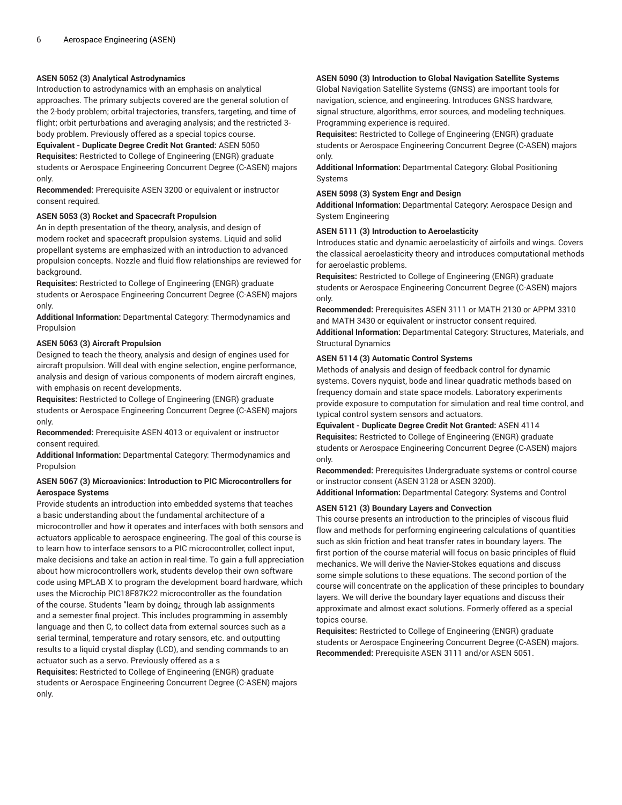# **ASEN 5052 (3) Analytical Astrodynamics**

Introduction to astrodynamics with an emphasis on analytical approaches. The primary subjects covered are the general solution of the 2-body problem; orbital trajectories, transfers, targeting, and time of flight; orbit perturbations and averaging analysis; and the restricted 3 body problem. Previously offered as a special topics course.

# **Equivalent - Duplicate Degree Credit Not Granted:** ASEN 5050

**Requisites:** Restricted to College of Engineering (ENGR) graduate students or Aerospace Engineering Concurrent Degree (C-ASEN) majors only.

**Recommended:** Prerequisite ASEN 3200 or equivalent or instructor consent required.

# **ASEN 5053 (3) Rocket and Spacecraft Propulsion**

An in depth presentation of the theory, analysis, and design of modern rocket and spacecraft propulsion systems. Liquid and solid propellant systems are emphasized with an introduction to advanced propulsion concepts. Nozzle and fluid flow relationships are reviewed for background.

**Requisites:** Restricted to College of Engineering (ENGR) graduate students or Aerospace Engineering Concurrent Degree (C-ASEN) majors only.

**Additional Information:** Departmental Category: Thermodynamics and Propulsion

# **ASEN 5063 (3) Aircraft Propulsion**

Designed to teach the theory, analysis and design of engines used for aircraft propulsion. Will deal with engine selection, engine performance, analysis and design of various components of modern aircraft engines, with emphasis on recent developments.

**Requisites:** Restricted to College of Engineering (ENGR) graduate students or Aerospace Engineering Concurrent Degree (C-ASEN) majors only.

**Recommended:** Prerequisite ASEN 4013 or equivalent or instructor consent required.

**Additional Information:** Departmental Category: Thermodynamics and Propulsion

# **ASEN 5067 (3) Microavionics: Introduction to PIC Microcontrollers for Aerospace Systems**

Provide students an introduction into embedded systems that teaches a basic understanding about the fundamental architecture of a microcontroller and how it operates and interfaces with both sensors and actuators applicable to aerospace engineering. The goal of this course is to learn how to interface sensors to a PIC microcontroller, collect input, make decisions and take an action in real-time. To gain a full appreciation about how microcontrollers work, students develop their own software code using MPLAB X to program the development board hardware, which uses the Microchip PIC18F87K22 microcontroller as the foundation of the course. Students "learn by doing¿ through lab assignments and a semester final project. This includes programming in assembly language and then C, to collect data from external sources such as a serial terminal, temperature and rotary sensors, etc. and outputting results to a liquid crystal display (LCD), and sending commands to an actuator such as a servo. Previously offered as a s

**Requisites:** Restricted to College of Engineering (ENGR) graduate students or Aerospace Engineering Concurrent Degree (C-ASEN) majors only.

# **ASEN 5090 (3) Introduction to Global Navigation Satellite Systems**

Global Navigation Satellite Systems (GNSS) are important tools for navigation, science, and engineering. Introduces GNSS hardware, signal structure, algorithms, error sources, and modeling techniques. Programming experience is required.

**Requisites:** Restricted to College of Engineering (ENGR) graduate students or Aerospace Engineering Concurrent Degree (C-ASEN) majors only.

**Additional Information:** Departmental Category: Global Positioning Systems

# **ASEN 5098 (3) System Engr and Design**

**Additional Information:** Departmental Category: Aerospace Design and System Engineering

# **ASEN 5111 (3) Introduction to Aeroelasticity**

Introduces static and dynamic aeroelasticity of airfoils and wings. Covers the classical aeroelasticity theory and introduces computational methods for aeroelastic problems.

**Requisites:** Restricted to College of Engineering (ENGR) graduate students or Aerospace Engineering Concurrent Degree (C-ASEN) majors only.

**Recommended:** Prerequisites ASEN 3111 or MATH 2130 or APPM 3310 and MATH 3430 or equivalent or instructor consent required. **Additional Information:** Departmental Category: Structures, Materials, and Structural Dynamics

# **ASEN 5114 (3) Automatic Control Systems**

Methods of analysis and design of feedback control for dynamic systems. Covers nyquist, bode and linear quadratic methods based on frequency domain and state space models. Laboratory experiments provide exposure to computation for simulation and real time control, and typical control system sensors and actuators.

**Equivalent - Duplicate Degree Credit Not Granted:** ASEN 4114 **Requisites:** Restricted to College of Engineering (ENGR) graduate students or Aerospace Engineering Concurrent Degree (C-ASEN) majors only.

**Recommended:** Prerequisites Undergraduate systems or control course or instructor consent (ASEN 3128 or ASEN 3200).

**Additional Information:** Departmental Category: Systems and Control

# **ASEN 5121 (3) Boundary Layers and Convection**

This course presents an introduction to the principles of viscous fluid flow and methods for performing engineering calculations of quantities such as skin friction and heat transfer rates in boundary layers. The first portion of the course material will focus on basic principles of fluid mechanics. We will derive the Navier-Stokes equations and discuss some simple solutions to these equations. The second portion of the course will concentrate on the application of these principles to boundary layers. We will derive the boundary layer equations and discuss their approximate and almost exact solutions. Formerly offered as a special topics course.

**Requisites:** Restricted to College of Engineering (ENGR) graduate students or Aerospace Engineering Concurrent Degree (C-ASEN) majors. **Recommended:** Prerequisite ASEN 3111 and/or ASEN 5051.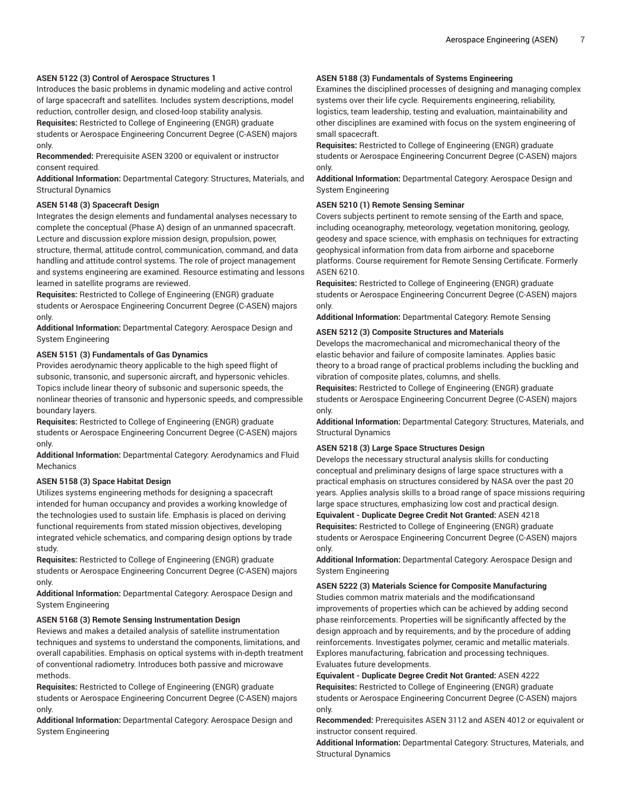# **ASEN 5122 (3) Control of Aerospace Structures 1**

Introduces the basic problems in dynamic modeling and active control of large spacecraft and satellites. Includes system descriptions, model reduction, controller design, and closed-loop stability analysis.

**Requisites:** Restricted to College of Engineering (ENGR) graduate students or Aerospace Engineering Concurrent Degree (C-ASEN) majors only.

**Recommended:** Prerequisite ASEN 3200 or equivalent or instructor consent required.

**Additional Information:** Departmental Category: Structures, Materials, and Structural Dynamics

#### **ASEN 5148 (3) Spacecraft Design**

Integrates the design elements and fundamental analyses necessary to complete the conceptual (Phase A) design of an unmanned spacecraft. Lecture and discussion explore mission design, propulsion, power, structure, thermal, attitude control, communication, command, and data handling and attitude control systems. The role of project management and systems engineering are examined. Resource estimating and lessons learned in satellite programs are reviewed.

**Requisites:** Restricted to College of Engineering (ENGR) graduate students or Aerospace Engineering Concurrent Degree (C-ASEN) majors only.

**Additional Information:** Departmental Category: Aerospace Design and System Engineering

#### **ASEN 5151 (3) Fundamentals of Gas Dynamics**

Provides aerodynamic theory applicable to the high speed flight of subsonic, transonic, and supersonic aircraft, and hypersonic vehicles. Topics include linear theory of subsonic and supersonic speeds, the nonlinear theories of transonic and hypersonic speeds, and compressible boundary layers.

**Requisites:** Restricted to College of Engineering (ENGR) graduate students or Aerospace Engineering Concurrent Degree (C-ASEN) majors only.

**Additional Information:** Departmental Category: Aerodynamics and Fluid **Mechanics** 

#### **ASEN 5158 (3) Space Habitat Design**

Utilizes systems engineering methods for designing a spacecraft intended for human occupancy and provides a working knowledge of the technologies used to sustain life. Emphasis is placed on deriving functional requirements from stated mission objectives, developing integrated vehicle schematics, and comparing design options by trade study.

**Requisites:** Restricted to College of Engineering (ENGR) graduate students or Aerospace Engineering Concurrent Degree (C-ASEN) majors only.

**Additional Information:** Departmental Category: Aerospace Design and System Engineering

### **ASEN 5168 (3) Remote Sensing Instrumentation Design**

Reviews and makes a detailed analysis of satellite instrumentation techniques and systems to understand the components, limitations, and overall capabilities. Emphasis on optical systems with in-depth treatment of conventional radiometry. Introduces both passive and microwave methods.

**Requisites:** Restricted to College of Engineering (ENGR) graduate students or Aerospace Engineering Concurrent Degree (C-ASEN) majors only.

**Additional Information:** Departmental Category: Aerospace Design and System Engineering

# **ASEN 5188 (3) Fundamentals of Systems Engineering**

Examines the disciplined processes of designing and managing complex systems over their life cycle. Requirements engineering, reliability, logistics, team leadership, testing and evaluation, maintainability and other disciplines are examined with focus on the system engineering of small spacecraft.

**Requisites:** Restricted to College of Engineering (ENGR) graduate students or Aerospace Engineering Concurrent Degree (C-ASEN) majors only.

**Additional Information:** Departmental Category: Aerospace Design and System Engineering

# **ASEN 5210 (1) Remote Sensing Seminar**

Covers subjects pertinent to remote sensing of the Earth and space, including oceanography, meteorology, vegetation monitoring, geology, geodesy and space science, with emphasis on techniques for extracting geophysical information from data from airborne and spaceborne platforms. Course requirement for Remote Sensing Certificate. Formerly ASEN 6210.

**Requisites:** Restricted to College of Engineering (ENGR) graduate students or Aerospace Engineering Concurrent Degree (C-ASEN) majors only.

**Additional Information:** Departmental Category: Remote Sensing

# **ASEN 5212 (3) Composite Structures and Materials**

Develops the macromechanical and micromechanical theory of the elastic behavior and failure of composite laminates. Applies basic theory to a broad range of practical problems including the buckling and vibration of composite plates, columns, and shells.

**Requisites:** Restricted to College of Engineering (ENGR) graduate students or Aerospace Engineering Concurrent Degree (C-ASEN) majors only.

**Additional Information:** Departmental Category: Structures, Materials, and Structural Dynamics

# **ASEN 5218 (3) Large Space Structures Design**

only.

Develops the necessary structural analysis skills for conducting conceptual and preliminary designs of large space structures with a practical emphasis on structures considered by NASA over the past 20 years. Applies analysis skills to a broad range of space missions requiring large space structures, emphasizing low cost and practical design. **Equivalent - Duplicate Degree Credit Not Granted:** ASEN 4218 **Requisites:** Restricted to College of Engineering (ENGR) graduate students or Aerospace Engineering Concurrent Degree (C-ASEN) majors

**Additional Information:** Departmental Category: Aerospace Design and System Engineering

#### **ASEN 5222 (3) Materials Science for Composite Manufacturing**

Studies common matrix materials and the modificationsand improvements of properties which can be achieved by adding second phase reinforcements. Properties will be significantly affected by the design approach and by requirements, and by the procedure of adding reinforcements. Investigates polymer, ceramic and metallic materials. Explores manufacturing, fabrication and processing techniques. Evaluates future developments.

**Equivalent - Duplicate Degree Credit Not Granted:** ASEN 4222 **Requisites:** Restricted to College of Engineering (ENGR) graduate students or Aerospace Engineering Concurrent Degree (C-ASEN) majors only.

**Recommended:** Prerequisites ASEN 3112 and ASEN 4012 or equivalent or instructor consent required.

**Additional Information:** Departmental Category: Structures, Materials, and Structural Dynamics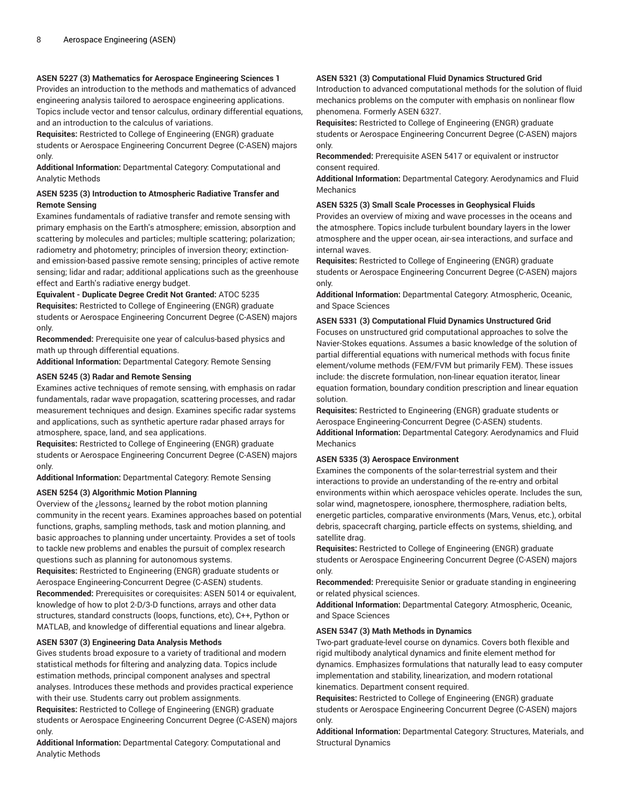# **ASEN 5227 (3) Mathematics for Aerospace Engineering Sciences 1**

Provides an introduction to the methods and mathematics of advanced engineering analysis tailored to aerospace engineering applications. Topics include vector and tensor calculus, ordinary differential equations, and an introduction to the calculus of variations.

**Requisites:** Restricted to College of Engineering (ENGR) graduate students or Aerospace Engineering Concurrent Degree (C-ASEN) majors only.

**Additional Information:** Departmental Category: Computational and Analytic Methods

# **ASEN 5235 (3) Introduction to Atmospheric Radiative Transfer and Remote Sensing**

Examines fundamentals of radiative transfer and remote sensing with primary emphasis on the Earth's atmosphere; emission, absorption and scattering by molecules and particles; multiple scattering; polarization; radiometry and photometry; principles of inversion theory; extinctionand emission-based passive remote sensing; principles of active remote sensing; lidar and radar; additional applications such as the greenhouse effect and Earth's radiative energy budget.

**Equivalent - Duplicate Degree Credit Not Granted:** ATOC 5235

**Requisites:** Restricted to College of Engineering (ENGR) graduate students or Aerospace Engineering Concurrent Degree (C-ASEN) majors only.

**Recommended:** Prerequisite one year of calculus-based physics and math up through differential equations.

**Additional Information:** Departmental Category: Remote Sensing

# **ASEN 5245 (3) Radar and Remote Sensing**

Examines active techniques of remote sensing, with emphasis on radar fundamentals, radar wave propagation, scattering processes, and radar measurement techniques and design. Examines specific radar systems and applications, such as synthetic aperture radar phased arrays for atmosphere, space, land, and sea applications.

**Requisites:** Restricted to College of Engineering (ENGR) graduate students or Aerospace Engineering Concurrent Degree (C-ASEN) majors only.

**Additional Information:** Departmental Category: Remote Sensing

# **ASEN 5254 (3) Algorithmic Motion Planning**

Overview of the ¿lessons¿ learned by the robot motion planning community in the recent years. Examines approaches based on potential functions, graphs, sampling methods, task and motion planning, and basic approaches to planning under uncertainty. Provides a set of tools to tackle new problems and enables the pursuit of complex research questions such as planning for autonomous systems.

**Requisites:** Restricted to Engineering (ENGR) graduate students or Aerospace Engineering-Concurrent Degree (C-ASEN) students. **Recommended:** Prerequisites or corequisites: ASEN 5014 or equivalent, knowledge of how to plot 2-D/3-D functions, arrays and other data structures, standard constructs (loops, functions, etc), C++, Python or MATLAB, and knowledge of differential equations and linear algebra.

# **ASEN 5307 (3) Engineering Data Analysis Methods**

Gives students broad exposure to a variety of traditional and modern statistical methods for filtering and analyzing data. Topics include estimation methods, principal component analyses and spectral analyses. Introduces these methods and provides practical experience with their use. Students carry out problem assignments.

**Requisites:** Restricted to College of Engineering (ENGR) graduate students or Aerospace Engineering Concurrent Degree (C-ASEN) majors only.

**Additional Information:** Departmental Category: Computational and Analytic Methods

# **ASEN 5321 (3) Computational Fluid Dynamics Structured Grid**

Introduction to advanced computational methods for the solution of fluid mechanics problems on the computer with emphasis on nonlinear flow phenomena. Formerly ASEN 6327.

**Requisites:** Restricted to College of Engineering (ENGR) graduate students or Aerospace Engineering Concurrent Degree (C-ASEN) majors only.

**Recommended:** Prerequisite ASEN 5417 or equivalent or instructor consent required.

**Additional Information:** Departmental Category: Aerodynamics and Fluid Mechanics

# **ASEN 5325 (3) Small Scale Processes in Geophysical Fluids**

Provides an overview of mixing and wave processes in the oceans and the atmosphere. Topics include turbulent boundary layers in the lower atmosphere and the upper ocean, air-sea interactions, and surface and internal waves.

**Requisites:** Restricted to College of Engineering (ENGR) graduate students or Aerospace Engineering Concurrent Degree (C-ASEN) majors only.

**Additional Information:** Departmental Category: Atmospheric, Oceanic, and Space Sciences

# **ASEN 5331 (3) Computational Fluid Dynamics Unstructured Grid**

Focuses on unstructured grid computational approaches to solve the Navier-Stokes equations. Assumes a basic knowledge of the solution of partial differential equations with numerical methods with focus finite element/volume methods (FEM/FVM but primarily FEM). These issues include: the discrete formulation, non-linear equation iterator, linear equation formation, boundary condition prescription and linear equation solution.

**Requisites:** Restricted to Engineering (ENGR) graduate students or Aerospace Engineering-Concurrent Degree (C-ASEN) students. **Additional Information:** Departmental Category: Aerodynamics and Fluid Mechanics

# **ASEN 5335 (3) Aerospace Environment**

Examines the components of the solar-terrestrial system and their interactions to provide an understanding of the re-entry and orbital environments within which aerospace vehicles operate. Includes the sun, solar wind, magnetospere, ionosphere, thermosphere, radiation belts, energetic particles, comparative environments (Mars, Venus, etc.), orbital debris, spacecraft charging, particle effects on systems, shielding, and satellite drag.

**Requisites:** Restricted to College of Engineering (ENGR) graduate students or Aerospace Engineering Concurrent Degree (C-ASEN) majors only.

**Recommended:** Prerequisite Senior or graduate standing in engineering or related physical sciences.

**Additional Information:** Departmental Category: Atmospheric, Oceanic, and Space Sciences

# **ASEN 5347 (3) Math Methods in Dynamics**

Two-part graduate-level course on dynamics. Covers both flexible and rigid multibody analytical dynamics and finite element method for dynamics. Emphasizes formulations that naturally lead to easy computer implementation and stability, linearization, and modern rotational kinematics. Department consent required.

**Requisites:** Restricted to College of Engineering (ENGR) graduate students or Aerospace Engineering Concurrent Degree (C-ASEN) majors only.

**Additional Information:** Departmental Category: Structures, Materials, and Structural Dynamics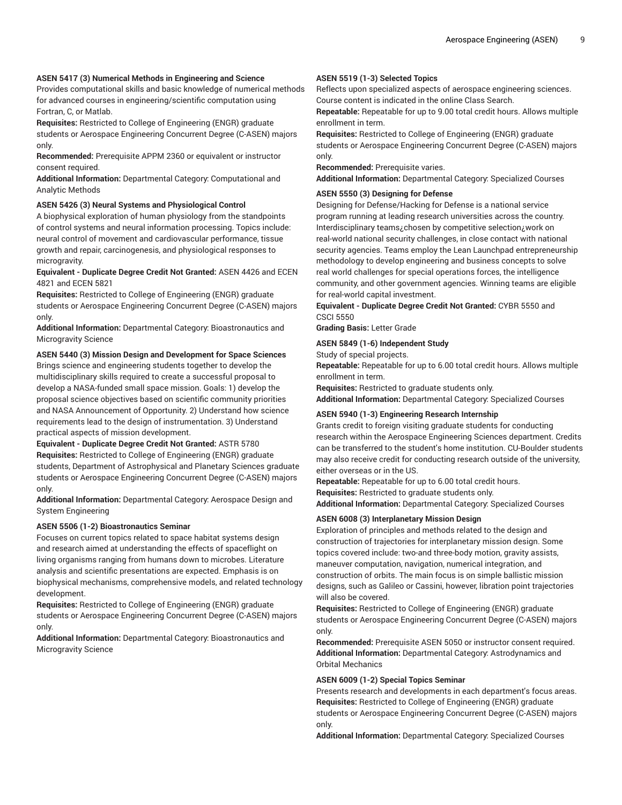# **ASEN 5417 (3) Numerical Methods in Engineering and Science**

Provides computational skills and basic knowledge of numerical methods for advanced courses in engineering/scientific computation using Fortran, C, or Matlab.

**Requisites:** Restricted to College of Engineering (ENGR) graduate students or Aerospace Engineering Concurrent Degree (C-ASEN) majors only.

**Recommended:** Prerequisite APPM 2360 or equivalent or instructor consent required.

**Additional Information:** Departmental Category: Computational and Analytic Methods

#### **ASEN 5426 (3) Neural Systems and Physiological Control**

A biophysical exploration of human physiology from the standpoints of control systems and neural information processing. Topics include: neural control of movement and cardiovascular performance, tissue growth and repair, carcinogenesis, and physiological responses to microgravity.

**Equivalent - Duplicate Degree Credit Not Granted:** ASEN 4426 and ECEN 4821 and ECEN 5821

**Requisites:** Restricted to College of Engineering (ENGR) graduate students or Aerospace Engineering Concurrent Degree (C-ASEN) majors only.

**Additional Information:** Departmental Category: Bioastronautics and Microgravity Science

**ASEN 5440 (3) Mission Design and Development for Space Sciences**

Brings science and engineering students together to develop the multidisciplinary skills required to create a successful proposal to develop a NASA-funded small space mission. Goals: 1) develop the proposal science objectives based on scientific community priorities and NASA Announcement of Opportunity. 2) Understand how science requirements lead to the design of instrumentation. 3) Understand practical aspects of mission development.

**Equivalent - Duplicate Degree Credit Not Granted:** ASTR 5780 **Requisites:** Restricted to College of Engineering (ENGR) graduate students, Department of Astrophysical and Planetary Sciences graduate students or Aerospace Engineering Concurrent Degree (C-ASEN) majors only.

**Additional Information:** Departmental Category: Aerospace Design and System Engineering

# **ASEN 5506 (1-2) Bioastronautics Seminar**

Focuses on current topics related to space habitat systems design and research aimed at understanding the effects of spaceflight on living organisms ranging from humans down to microbes. Literature analysis and scientific presentations are expected. Emphasis is on biophysical mechanisms, comprehensive models, and related technology development.

**Requisites:** Restricted to College of Engineering (ENGR) graduate students or Aerospace Engineering Concurrent Degree (C-ASEN) majors only.

**Additional Information:** Departmental Category: Bioastronautics and Microgravity Science

# **ASEN 5519 (1-3) Selected Topics**

Reflects upon specialized aspects of aerospace engineering sciences. Course content is indicated in the online Class Search.

**Repeatable:** Repeatable for up to 9.00 total credit hours. Allows multiple enrollment in term.

**Requisites:** Restricted to College of Engineering (ENGR) graduate students or Aerospace Engineering Concurrent Degree (C-ASEN) majors only.

**Recommended:** Prerequisite varies. **Additional Information:** Departmental Category: Specialized Courses

#### **ASEN 5550 (3) Designing for Defense**

Designing for Defense/Hacking for Defense is a national service program running at leading research universities across the country. Interdisciplinary teams¿chosen by competitive selection¿work on real-world national security challenges, in close contact with national security agencies. Teams employ the Lean Launchpad entrepreneurship methodology to develop engineering and business concepts to solve real world challenges for special operations forces, the intelligence community, and other government agencies. Winning teams are eligible for real-world capital investment.

**Equivalent - Duplicate Degree Credit Not Granted:** CYBR 5550 and CSCI 5550

**Grading Basis:** Letter Grade

#### **ASEN 5849 (1-6) Independent Study**

Study of special projects.

**Repeatable:** Repeatable for up to 6.00 total credit hours. Allows multiple enrollment in term.

**Requisites:** Restricted to graduate students only.

**Additional Information:** Departmental Category: Specialized Courses

# **ASEN 5940 (1-3) Engineering Research Internship**

Grants credit to foreign visiting graduate students for conducting research within the Aerospace Engineering Sciences department. Credits can be transferred to the student's home institution. CU-Boulder students may also receive credit for conducting research outside of the university, either overseas or in the US.

**Repeatable:** Repeatable for up to 6.00 total credit hours.

**Requisites:** Restricted to graduate students only.

**Additional Information:** Departmental Category: Specialized Courses

# **ASEN 6008 (3) Interplanetary Mission Design**

Exploration of principles and methods related to the design and construction of trajectories for interplanetary mission design. Some topics covered include: two-and three-body motion, gravity assists, maneuver computation, navigation, numerical integration, and construction of orbits. The main focus is on simple ballistic mission designs, such as Galileo or Cassini, however, libration point trajectories will also be covered.

**Requisites:** Restricted to College of Engineering (ENGR) graduate students or Aerospace Engineering Concurrent Degree (C-ASEN) majors only.

**Recommended:** Prerequisite ASEN 5050 or instructor consent required. **Additional Information:** Departmental Category: Astrodynamics and Orbital Mechanics

#### **ASEN 6009 (1-2) Special Topics Seminar**

Presents research and developments in each department's focus areas. **Requisites:** Restricted to College of Engineering (ENGR) graduate students or Aerospace Engineering Concurrent Degree (C-ASEN) majors only.

**Additional Information:** Departmental Category: Specialized Courses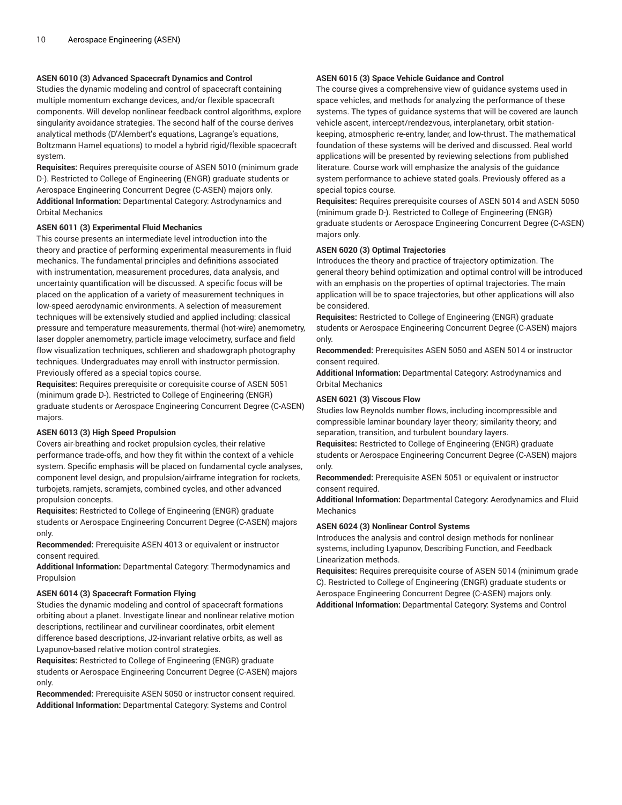# **ASEN 6010 (3) Advanced Spacecraft Dynamics and Control**

Studies the dynamic modeling and control of spacecraft containing multiple momentum exchange devices, and/or flexible spacecraft components. Will develop nonlinear feedback control algorithms, explore singularity avoidance strategies. The second half of the course derives analytical methods (D'Alembert's equations, Lagrange's equations, Boltzmann Hamel equations) to model a hybrid rigid/flexible spacecraft system.

**Requisites:** Requires prerequisite course of ASEN 5010 (minimum grade D-). Restricted to College of Engineering (ENGR) graduate students or Aerospace Engineering Concurrent Degree (C-ASEN) majors only. **Additional Information:** Departmental Category: Astrodynamics and Orbital Mechanics

#### **ASEN 6011 (3) Experimental Fluid Mechanics**

This course presents an intermediate level introduction into the theory and practice of performing experimental measurements in fluid mechanics. The fundamental principles and definitions associated with instrumentation, measurement procedures, data analysis, and uncertainty quantification will be discussed. A specific focus will be placed on the application of a variety of measurement techniques in low-speed aerodynamic environments. A selection of measurement techniques will be extensively studied and applied including: classical pressure and temperature measurements, thermal (hot-wire) anemometry, laser doppler anemometry, particle image velocimetry, surface and field flow visualization techniques, schlieren and shadowgraph photography techniques. Undergraduates may enroll with instructor permission. Previously offered as a special topics course.

**Requisites:** Requires prerequisite or corequisite course of ASEN 5051 (minimum grade D-). Restricted to College of Engineering (ENGR) graduate students or Aerospace Engineering Concurrent Degree (C-ASEN) majors.

#### **ASEN 6013 (3) High Speed Propulsion**

Covers air-breathing and rocket propulsion cycles, their relative performance trade-offs, and how they fit within the context of a vehicle system. Specific emphasis will be placed on fundamental cycle analyses, component level design, and propulsion/airframe integration for rockets, turbojets, ramjets, scramjets, combined cycles, and other advanced propulsion concepts.

**Requisites:** Restricted to College of Engineering (ENGR) graduate students or Aerospace Engineering Concurrent Degree (C-ASEN) majors only.

**Recommended:** Prerequisite ASEN 4013 or equivalent or instructor consent required.

**Additional Information:** Departmental Category: Thermodynamics and Propulsion

#### **ASEN 6014 (3) Spacecraft Formation Flying**

Studies the dynamic modeling and control of spacecraft formations orbiting about a planet. Investigate linear and nonlinear relative motion descriptions, rectilinear and curvilinear coordinates, orbit element difference based descriptions, J2-invariant relative orbits, as well as Lyapunov-based relative motion control strategies.

**Requisites:** Restricted to College of Engineering (ENGR) graduate students or Aerospace Engineering Concurrent Degree (C-ASEN) majors only.

**Recommended:** Prerequisite ASEN 5050 or instructor consent required. **Additional Information:** Departmental Category: Systems and Control

# **ASEN 6015 (3) Space Vehicle Guidance and Control**

The course gives a comprehensive view of guidance systems used in space vehicles, and methods for analyzing the performance of these systems. The types of guidance systems that will be covered are launch vehicle ascent, intercept/rendezvous, interplanetary, orbit stationkeeping, atmospheric re-entry, lander, and low-thrust. The mathematical foundation of these systems will be derived and discussed. Real world applications will be presented by reviewing selections from published literature. Course work will emphasize the analysis of the guidance system performance to achieve stated goals. Previously offered as a special topics course.

**Requisites:** Requires prerequisite courses of ASEN 5014 and ASEN 5050 (minimum grade D-). Restricted to College of Engineering (ENGR) graduate students or Aerospace Engineering Concurrent Degree (C-ASEN) majors only.

#### **ASEN 6020 (3) Optimal Trajectories**

Introduces the theory and practice of trajectory optimization. The general theory behind optimization and optimal control will be introduced with an emphasis on the properties of optimal trajectories. The main application will be to space trajectories, but other applications will also be considered.

**Requisites:** Restricted to College of Engineering (ENGR) graduate students or Aerospace Engineering Concurrent Degree (C-ASEN) majors only.

**Recommended:** Prerequisites ASEN 5050 and ASEN 5014 or instructor consent required.

**Additional Information:** Departmental Category: Astrodynamics and Orbital Mechanics

#### **ASEN 6021 (3) Viscous Flow**

Studies low Reynolds number flows, including incompressible and compressible laminar boundary layer theory; similarity theory; and separation, transition, and turbulent boundary layers.

**Requisites:** Restricted to College of Engineering (ENGR) graduate students or Aerospace Engineering Concurrent Degree (C-ASEN) majors only.

**Recommended:** Prerequisite ASEN 5051 or equivalent or instructor consent required.

**Additional Information:** Departmental Category: Aerodynamics and Fluid Mechanics

#### **ASEN 6024 (3) Nonlinear Control Systems**

Introduces the analysis and control design methods for nonlinear systems, including Lyapunov, Describing Function, and Feedback Linearization methods.

**Requisites:** Requires prerequisite course of ASEN 5014 (minimum grade C). Restricted to College of Engineering (ENGR) graduate students or Aerospace Engineering Concurrent Degree (C-ASEN) majors only. **Additional Information:** Departmental Category: Systems and Control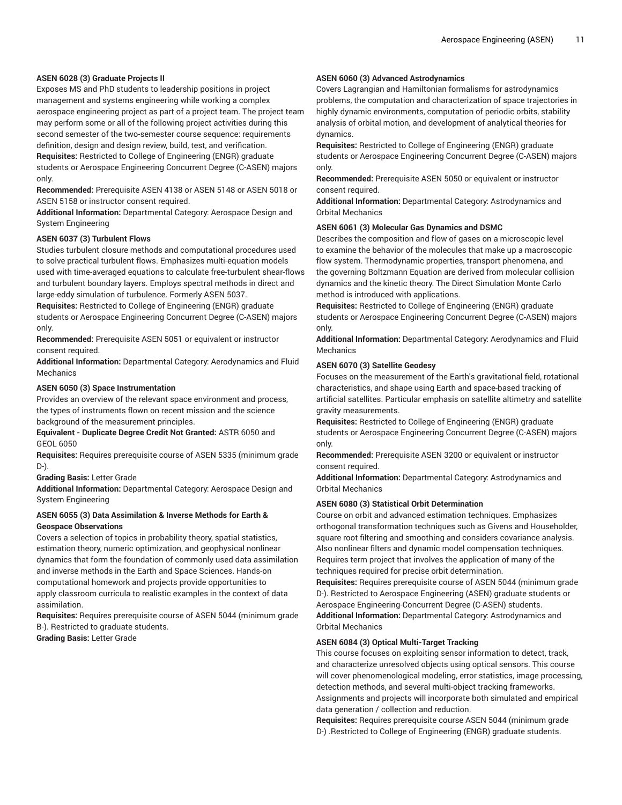# **ASEN 6028 (3) Graduate Projects II**

Exposes MS and PhD students to leadership positions in project management and systems engineering while working a complex aerospace engineering project as part of a project team. The project team may perform some or all of the following project activities during this second semester of the two-semester course sequence: requirements definition, design and design review, build, test, and verification.

**Requisites:** Restricted to College of Engineering (ENGR) graduate students or Aerospace Engineering Concurrent Degree (C-ASEN) majors only.

**Recommended:** Prerequisite ASEN 4138 or ASEN 5148 or ASEN 5018 or ASEN 5158 or instructor consent required.

**Additional Information:** Departmental Category: Aerospace Design and System Engineering

#### **ASEN 6037 (3) Turbulent Flows**

Studies turbulent closure methods and computational procedures used to solve practical turbulent flows. Emphasizes multi-equation models used with time-averaged equations to calculate free-turbulent shear-flows and turbulent boundary layers. Employs spectral methods in direct and large-eddy simulation of turbulence. Formerly ASEN 5037.

**Requisites:** Restricted to College of Engineering (ENGR) graduate students or Aerospace Engineering Concurrent Degree (C-ASEN) majors only.

**Recommended:** Prerequisite ASEN 5051 or equivalent or instructor consent required.

**Additional Information:** Departmental Category: Aerodynamics and Fluid Mechanics

#### **ASEN 6050 (3) Space Instrumentation**

Provides an overview of the relevant space environment and process, the types of instruments flown on recent mission and the science background of the measurement principles.

**Equivalent - Duplicate Degree Credit Not Granted:** ASTR 6050 and GEOL 6050

**Requisites:** Requires prerequisite course of ASEN 5335 (minimum grade D-).

**Grading Basis:** Letter Grade

**Additional Information:** Departmental Category: Aerospace Design and System Engineering

# **ASEN 6055 (3) Data Assimilation & Inverse Methods for Earth & Geospace Observations**

Covers a selection of topics in probability theory, spatial statistics, estimation theory, numeric optimization, and geophysical nonlinear dynamics that form the foundation of commonly used data assimilation and inverse methods in the Earth and Space Sciences. Hands-on computational homework and projects provide opportunities to apply classroom curricula to realistic examples in the context of data assimilation.

**Requisites:** Requires prerequisite course of ASEN 5044 (minimum grade B-). Restricted to graduate students.

**Grading Basis:** Letter Grade

# **ASEN 6060 (3) Advanced Astrodynamics**

Covers Lagrangian and Hamiltonian formalisms for astrodynamics problems, the computation and characterization of space trajectories in highly dynamic environments, computation of periodic orbits, stability analysis of orbital motion, and development of analytical theories for dynamics.

**Requisites:** Restricted to College of Engineering (ENGR) graduate students or Aerospace Engineering Concurrent Degree (C-ASEN) majors only.

**Recommended:** Prerequisite ASEN 5050 or equivalent or instructor consent required.

**Additional Information:** Departmental Category: Astrodynamics and Orbital Mechanics

#### **ASEN 6061 (3) Molecular Gas Dynamics and DSMC**

Describes the composition and flow of gases on a microscopic level to examine the behavior of the molecules that make up a macroscopic flow system. Thermodynamic properties, transport phenomena, and the governing Boltzmann Equation are derived from molecular collision dynamics and the kinetic theory. The Direct Simulation Monte Carlo method is introduced with applications.

**Requisites:** Restricted to College of Engineering (ENGR) graduate students or Aerospace Engineering Concurrent Degree (C-ASEN) majors only.

**Additional Information:** Departmental Category: Aerodynamics and Fluid Mechanics

#### **ASEN 6070 (3) Satellite Geodesy**

Focuses on the measurement of the Earth's gravitational field, rotational characteristics, and shape using Earth and space-based tracking of artificial satellites. Particular emphasis on satellite altimetry and satellite gravity measurements.

**Requisites:** Restricted to College of Engineering (ENGR) graduate students or Aerospace Engineering Concurrent Degree (C-ASEN) majors only.

**Recommended:** Prerequisite ASEN 3200 or equivalent or instructor consent required.

**Additional Information:** Departmental Category: Astrodynamics and Orbital Mechanics

# **ASEN 6080 (3) Statistical Orbit Determination**

Course on orbit and advanced estimation techniques. Emphasizes orthogonal transformation techniques such as Givens and Householder, square root filtering and smoothing and considers covariance analysis. Also nonlinear filters and dynamic model compensation techniques. Requires term project that involves the application of many of the techniques required for precise orbit determination.

**Requisites:** Requires prerequisite course of ASEN 5044 (minimum grade D-). Restricted to Aerospace Engineering (ASEN) graduate students or Aerospace Engineering-Concurrent Degree (C-ASEN) students. **Additional Information:** Departmental Category: Astrodynamics and Orbital Mechanics

#### **ASEN 6084 (3) Optical Multi-Target Tracking**

This course focuses on exploiting sensor information to detect, track, and characterize unresolved objects using optical sensors. This course will cover phenomenological modeling, error statistics, image processing, detection methods, and several multi-object tracking frameworks. Assignments and projects will incorporate both simulated and empirical data generation / collection and reduction.

**Requisites:** Requires prerequisite course ASEN 5044 (minimum grade D-) .Restricted to College of Engineering (ENGR) graduate students.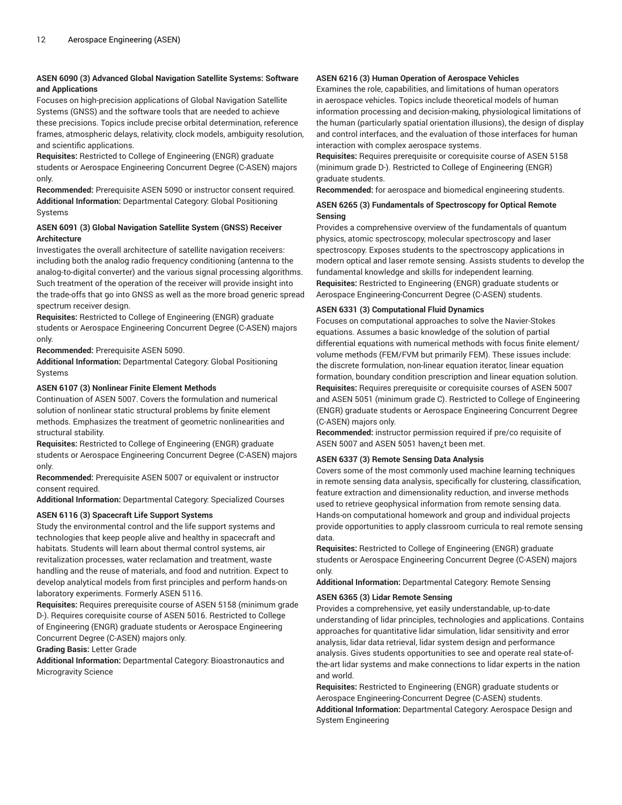# **ASEN 6090 (3) Advanced Global Navigation Satellite Systems: Software and Applications**

Focuses on high-precision applications of Global Navigation Satellite Systems (GNSS) and the software tools that are needed to achieve these precisions. Topics include precise orbital determination, reference frames, atmospheric delays, relativity, clock models, ambiguity resolution, and scientific applications.

**Requisites:** Restricted to College of Engineering (ENGR) graduate students or Aerospace Engineering Concurrent Degree (C-ASEN) majors only.

**Recommended:** Prerequisite ASEN 5090 or instructor consent required. **Additional Information:** Departmental Category: Global Positioning Systems

# **ASEN 6091 (3) Global Navigation Satellite System (GNSS) Receiver Architecture**

Investigates the overall architecture of satellite navigation receivers: including both the analog radio frequency conditioning (antenna to the analog-to-digital converter) and the various signal processing algorithms. Such treatment of the operation of the receiver will provide insight into the trade-offs that go into GNSS as well as the more broad generic spread spectrum receiver design.

**Requisites:** Restricted to College of Engineering (ENGR) graduate students or Aerospace Engineering Concurrent Degree (C-ASEN) majors only.

**Recommended:** Prerequisite ASEN 5090.

**Additional Information:** Departmental Category: Global Positioning Systems

# **ASEN 6107 (3) Nonlinear Finite Element Methods**

Continuation of ASEN 5007. Covers the formulation and numerical solution of nonlinear static structural problems by finite element methods. Emphasizes the treatment of geometric nonlinearities and structural stability.

**Requisites:** Restricted to College of Engineering (ENGR) graduate students or Aerospace Engineering Concurrent Degree (C-ASEN) majors only.

**Recommended:** Prerequisite ASEN 5007 or equivalent or instructor consent required.

**Additional Information:** Departmental Category: Specialized Courses

# **ASEN 6116 (3) Spacecraft Life Support Systems**

Study the environmental control and the life support systems and technologies that keep people alive and healthy in spacecraft and habitats. Students will learn about thermal control systems, air revitalization processes, water reclamation and treatment, waste handling and the reuse of materials, and food and nutrition. Expect to develop analytical models from first principles and perform hands-on laboratory experiments. Formerly ASEN 5116.

**Requisites:** Requires prerequisite course of ASEN 5158 (minimum grade D-). Requires corequisite course of ASEN 5016. Restricted to College of Engineering (ENGR) graduate students or Aerospace Engineering Concurrent Degree (C-ASEN) majors only.

# **Grading Basis:** Letter Grade

**Additional Information:** Departmental Category: Bioastronautics and Microgravity Science

# **ASEN 6216 (3) Human Operation of Aerospace Vehicles**

Examines the role, capabilities, and limitations of human operators in aerospace vehicles. Topics include theoretical models of human information processing and decision-making, physiological limitations of the human (particularly spatial orientation illusions), the design of display and control interfaces, and the evaluation of those interfaces for human interaction with complex aerospace systems.

**Requisites:** Requires prerequisite or corequisite course of ASEN 5158 (minimum grade D-). Restricted to College of Engineering (ENGR) graduate students.

**Recommended:** for aerospace and biomedical engineering students.

# **ASEN 6265 (3) Fundamentals of Spectroscopy for Optical Remote Sensing**

Provides a comprehensive overview of the fundamentals of quantum physics, atomic spectroscopy, molecular spectroscopy and laser spectroscopy. Exposes students to the spectroscopy applications in modern optical and laser remote sensing. Assists students to develop the fundamental knowledge and skills for independent learning. **Requisites:** Restricted to Engineering (ENGR) graduate students or Aerospace Engineering-Concurrent Degree (C-ASEN) students.

# **ASEN 6331 (3) Computational Fluid Dynamics**

Focuses on computational approaches to solve the Navier-Stokes equations. Assumes a basic knowledge of the solution of partial differential equations with numerical methods with focus finite element/ volume methods (FEM/FVM but primarily FEM). These issues include: the discrete formulation, non-linear equation iterator, linear equation formation, boundary condition prescription and linear equation solution. **Requisites:** Requires prerequisite or corequisite courses of ASEN 5007 and ASEN 5051 (minimum grade C). Restricted to College of Engineering (ENGR) graduate students or Aerospace Engineering Concurrent Degree (C-ASEN) majors only.

**Recommended:** instructor permission required if pre/co requisite of ASEN 5007 and ASEN 5051 haven¿t been met.

# **ASEN 6337 (3) Remote Sensing Data Analysis**

Covers some of the most commonly used machine learning techniques in remote sensing data analysis, specifically for clustering, classification, feature extraction and dimensionality reduction, and inverse methods used to retrieve geophysical information from remote sensing data. Hands-on computational homework and group and individual projects provide opportunities to apply classroom curricula to real remote sensing data.

**Requisites:** Restricted to College of Engineering (ENGR) graduate students or Aerospace Engineering Concurrent Degree (C-ASEN) majors only.

**Additional Information:** Departmental Category: Remote Sensing

# **ASEN 6365 (3) Lidar Remote Sensing**

Provides a comprehensive, yet easily understandable, up-to-date understanding of lidar principles, technologies and applications. Contains approaches for quantitative lidar simulation, lidar sensitivity and error analysis, lidar data retrieval, lidar system design and performance analysis. Gives students opportunities to see and operate real state-ofthe-art lidar systems and make connections to lidar experts in the nation and world.

**Requisites:** Restricted to Engineering (ENGR) graduate students or Aerospace Engineering-Concurrent Degree (C-ASEN) students. **Additional Information:** Departmental Category: Aerospace Design and System Engineering